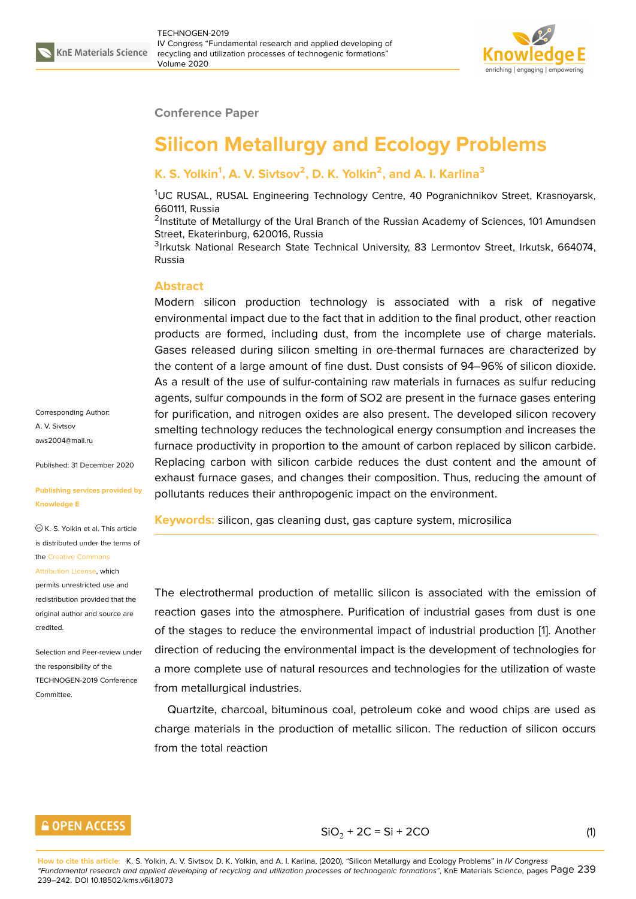

#### **Conference Paper**

# **Silicon Metallurgy and Ecology Problems**

## **K. S. Yolkin<sup>1</sup> , A. V. Sivtsov<sup>2</sup> , D. K. Yolkin<sup>2</sup> , and A. I. Karlina<sup>3</sup>**

<sup>1</sup>UC RUSAL, RUSAL Engineering Technology Centre, 40 Pogranichnikov Street, Krasnoyarsk, 660111, Russia

<sup>2</sup>Institute of Metallurgy of the Ural Branch of the Russian Academy of Sciences, 101 Amundsen Street, Ekaterinburg, 620016, Russia

<sup>3</sup>Irkutsk National Research State Technical University, 83 Lermontov Street, Irkutsk, 664074, Russia

### **Abstract**

Modern silicon production technology is associated with a risk of negative environmental impact due to the fact that in addition to the final product, other reaction products are formed, including dust, from the incomplete use of charge materials. Gases released during silicon smelting in ore-thermal furnaces are characterized by the content of a large amount of fine dust. Dust consists of 94–96% of silicon dioxide. As a result of the use of sulfur-containing raw materials in furnaces as sulfur reducing agents, sulfur compounds in the form of SO2 are present in the furnace gases entering for purification, and nitrogen oxides are also present. The developed silicon recovery smelting technology reduces the technological energy consumption and increases the furnace productivity in proportion to the amount of carbon replaced by silicon carbide. Replacing carbon with silicon carbide reduces the dust content and the amount of exhaust furnace gases, and changes their composition. Thus, reducing the amount of pollutants reduces their anthropogenic impact on the environment.

**Keywords:** silicon, gas cleaning dust, gas capture system, microsilica

The electrothermal production of metallic silicon is associated with the emission of reaction gases into the atmosphere. Purification of industrial gases from dust is one of the stages to reduce the environmental impact of industrial production [1]. Another direction of reducing the environmental impact is the development of technologies for a more complete use of natural resources and technologies for the utilization of waste from metallurgical industries.

Quartzite, charcoal, bituminous coal, petroleum coke and wood chips are used as charge materials in the production of metallic silicon. The reduction of silicon occurs from the total reaction

## **GOPEN ACCESS**

 $SiO_2 + 2C = Si + 2CO$  (1)

Corresponding Author: A. V. Sivtsov aws2004@mail.ru

Published: 31 December 2020

#### **[Publishing service](mailto:aws2004@mail.ru)s provided by Knowledge E**

K. S. Yolkin et al. This article is distributed under the terms of the Creative Commons

#### Attribution License, which

permits unrestricted use and redistribution provided that the orig[inal author and sou](https://creativecommons.org/licenses/by/4.0/)rce are [credited.](https://creativecommons.org/licenses/by/4.0/)

Selection and Peer-review under the responsibility of the TECHNOGEN-2019 Conference **Committee**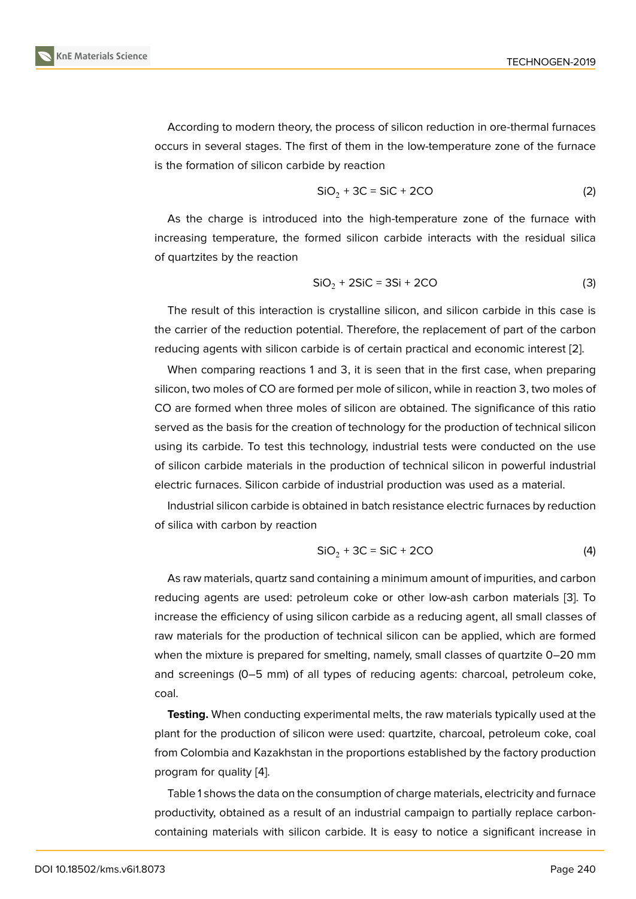According to modern theory, the process of silicon reduction in ore-thermal furnaces occurs in several stages. The first of them in the low-temperature zone of the furnace is the formation of silicon carbide by reaction

$$
SiO_2 + 3C = SiC + 2CO \tag{2}
$$

As the charge is introduced into the high-temperature zone of the furnace with increasing temperature, the formed silicon carbide interacts with the residual silica of quartzites by the reaction

$$
SiO2 + 2SiC = 3Si + 2CO
$$
 (3)

The result of this interaction is crystalline silicon, and silicon carbide in this case is the carrier of the reduction potential. Therefore, the replacement of part of the carbon reducing agents with silicon carbide is of certain practical and economic interest [2].

When comparing reactions 1 and 3, it is seen that in the first case, when preparing silicon, two moles of CO are formed per mole of silicon, while in reaction 3, two moles of CO are formed when three moles of silicon are obtained. The significance of this [ra](#page-3-0)tio served as the basis for the creation of technology for the production of technical silicon using its carbide. To test this technology, industrial tests were conducted on the use of silicon carbide materials in the production of technical silicon in powerful industrial electric furnaces. Silicon carbide of industrial production was used as a material.

Industrial silicon carbide is obtained in batch resistance electric furnaces by reduction of silica with carbon by reaction

$$
SiO_2 + 3C = SiC + 2CO \tag{4}
$$

As raw materials, quartz sand containing a minimum amount of impurities, and carbon reducing agents are used: petroleum coke or other low-ash carbon materials [3]. To increase the efficiency of using silicon carbide as a reducing agent, all small classes of raw materials for the production of technical silicon can be applied, which are formed when the mixture is prepared for smelting, namely, small classes of quartzite 0–[20](#page-3-1) mm and screenings (0–5 mm) of all types of reducing agents: charcoal, petroleum coke, coal.

**Testing.** When conducting experimental melts, the raw materials typically used at the plant for the production of silicon were used: quartzite, charcoal, petroleum coke, coal from Colombia and Kazakhstan in the proportions established by the factory production program for quality [4].

Table 1 shows the data on the consumption of charge materials, electricity and furnace productivity, obtained as a result of an industrial campaign to partially replace carboncontaining material[s w](#page-3-2)ith silicon carbide. It is easy to notice a significant increase in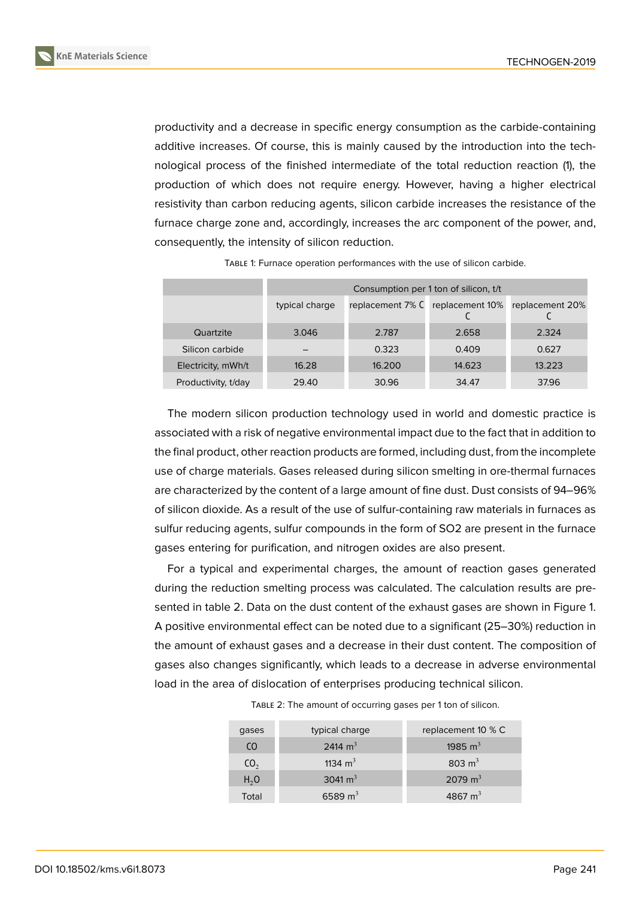productivity and a decrease in specific energy consumption as the carbide-containing additive increases. Of course, this is mainly caused by the introduction into the technological process of the finished intermediate of the total reduction reaction (1), the production of which does not require energy. However, having a higher electrical resistivity than carbon reducing agents, silicon carbide increases the resistance of the furnace charge zone and, accordingly, increases the arc component of the power, and, consequently, the intensity of silicon reduction.

|                     | Consumption per 1 ton of silicon, t/t |                  |                 |                 |
|---------------------|---------------------------------------|------------------|-----------------|-----------------|
|                     | typical charge                        | replacement 7% C | replacement 10% | replacement 20% |
| Quartzite           | 3.046                                 | 2.787            | 2.658           | 2.324           |
| Silicon carbide     |                                       | 0.323            | 0.409           | 0.627           |
| Electricity, mWh/t  | 16.28                                 | 16.200           | 14.623          | 13.223          |
| Productivity, t/day | 29.40                                 | 30.96            | 34.47           | 37.96           |

TABLE 1: Furnace operation performances with the use of silicon carbide.

The modern silicon production technology used in world and domestic practice is associated with a risk of negative environmental impact due to the fact that in addition to the final product, other reaction products are formed, including dust, from the incomplete use of charge materials. Gases released during silicon smelting in ore-thermal furnaces are characterized by the content of a large amount of fine dust. Dust consists of 94–96% of silicon dioxide. As a result of the use of sulfur-containing raw materials in furnaces as sulfur reducing agents, sulfur compounds in the form of SO2 are present in the furnace gases entering for purification, and nitrogen oxides are also present.

For a typical and experimental charges, the amount of reaction gases generated during the reduction smelting process was calculated. The calculation results are presented in table 2. Data on the dust content of the exhaust gases are shown in Figure 1. A positive environmental effect can be noted due to a significant (25–30%) reduction in the amount of exhaust gases and a decrease in their dust content. The composition of gases also changes significantly, which leads to a decrease in adverse environment[al](#page-3-3) load in the area of dislocation of enterprises producing technical silicon.

| gases            | typical charge | replacement 10 % C  |
|------------------|----------------|---------------------|
| C <sub>O</sub>   | 2414 $m^3$     | 1985 $m^3$          |
| CO <sub>2</sub>  | 1134 $m3$      | 803 $m3$            |
| H <sub>2</sub> O | 3041 $m3$      | 2079 m <sup>3</sup> |
| Total            | 6589 $m3$      | 4867 $m3$           |

TABLE 2: The amount of occurring gases per 1 ton of silicon.